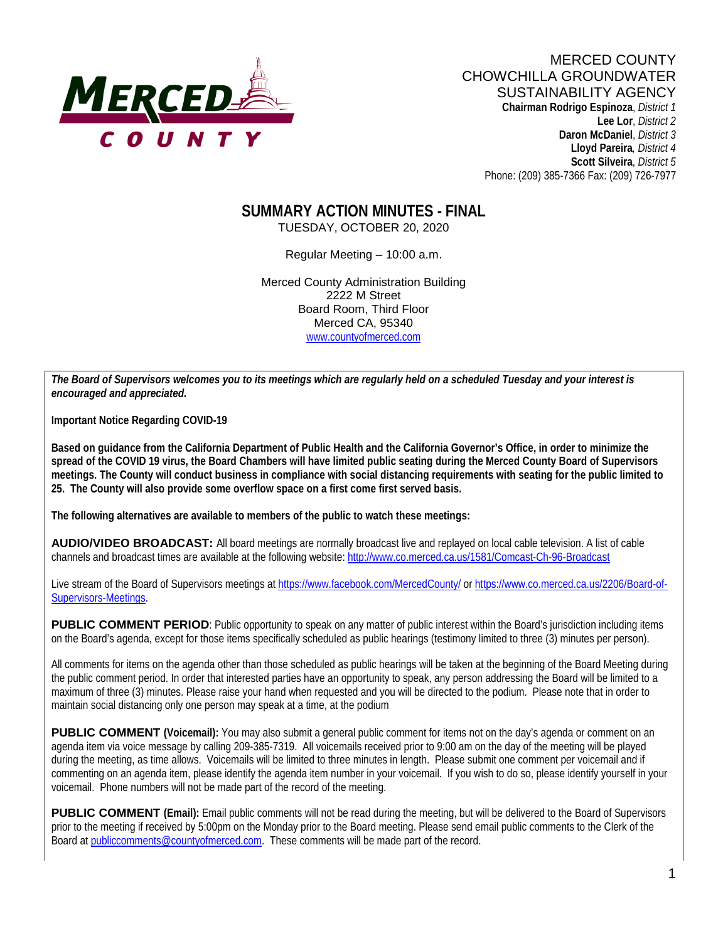

**Lee Lor**, *District 2*  **Daron McDaniel**, *District 3* **Lloyd Pareira***, District 4*  **Scott Silveira**, *District 5* Phone: (209) 385-7366 Fax: (209) 726-7977

# **SUMMARY ACTION MINUTES - FINAL**

TUESDAY, OCTOBER 20, 2020

Regular Meeting – 10:00 a.m.

Merced County Administration Building 2222 M Street Board Room, Third Floor Merced CA, 95340 www.countyofmerced.com

*The Board of Supervisors welcomes you to its meetings which are regularly held on a scheduled Tuesday and your interest is encouraged and appreciated.*

**Important Notice Regarding COVID-19**

**Based on guidance from the California Department of Public Health and the California Governor's Office, in order to minimize the spread of the COVID 19 virus, the Board Chambers will have limited public seating during the Merced County Board of Supervisors meetings. The County will conduct business in compliance with social distancing requirements with seating for the public limited to 25. The County will also provide some overflow space on a first come first served basis.**

**The following alternatives are available to members of the public to watch these meetings:**

**AUDIO/VIDEO BROADCAST:** All board meetings are normally broadcast live and replayed on local cable television. A list of cable channels and broadcast times are available at the following website[: http://www.co.merced.ca.us/1581/Comcast-Ch-96-Broadcast](http://www.co.merced.ca.us/1581/Comcast-Ch-96-Broadcast)

Live stream of the Board of Supervisors meetings at<https://www.facebook.com/MercedCounty/> o[r https://www.co.merced.ca.us/2206/Board-of-](https://www.co.merced.ca.us/2206/Board-of-Supervisors-Meetings)[Supervisors-Meetings.](https://www.co.merced.ca.us/2206/Board-of-Supervisors-Meetings)

**PUBLIC COMMENT PERIOD:** Public opportunity to speak on any matter of public interest within the Board's jurisdiction including items on the Board's agenda, except for those items specifically scheduled as public hearings (testimony limited to three (3) minutes per person).

All comments for items on the agenda other than those scheduled as public hearings will be taken at the beginning of the Board Meeting during the public comment period. In order that interested parties have an opportunity to speak, any person addressing the Board will be limited to a maximum of three (3) minutes. Please raise your hand when requested and you will be directed to the podium. Please note that in order to maintain social distancing only one person may speak at a time, at the podium

**PUBLIC COMMENT** (Voicemail): You may also submit a general public comment for items not on the day's agenda or comment on an agenda item via voice message by calling 209-385-7319. All voicemails received prior to 9:00 am on the day of the meeting will be played during the meeting, as time allows. Voicemails will be limited to three minutes in length. Please submit one comment per voicemail and if commenting on an agenda item, please identify the agenda item number in your voicemail. If you wish to do so, please identify yourself in your voicemail. Phone numbers will not be made part of the record of the meeting.

**PUBLIC COMMENT (Email):** Email public comments will not be read during the meeting, but will be delivered to the Board of Supervisors prior to the meeting if received by 5:00pm on the Monday prior to the Board meeting. Please send email public comments to the Clerk of the Board a[t publiccomments@countyofmerced.com.](mailto:publiccomments@countyofmerced.com) These comments will be made part of the record.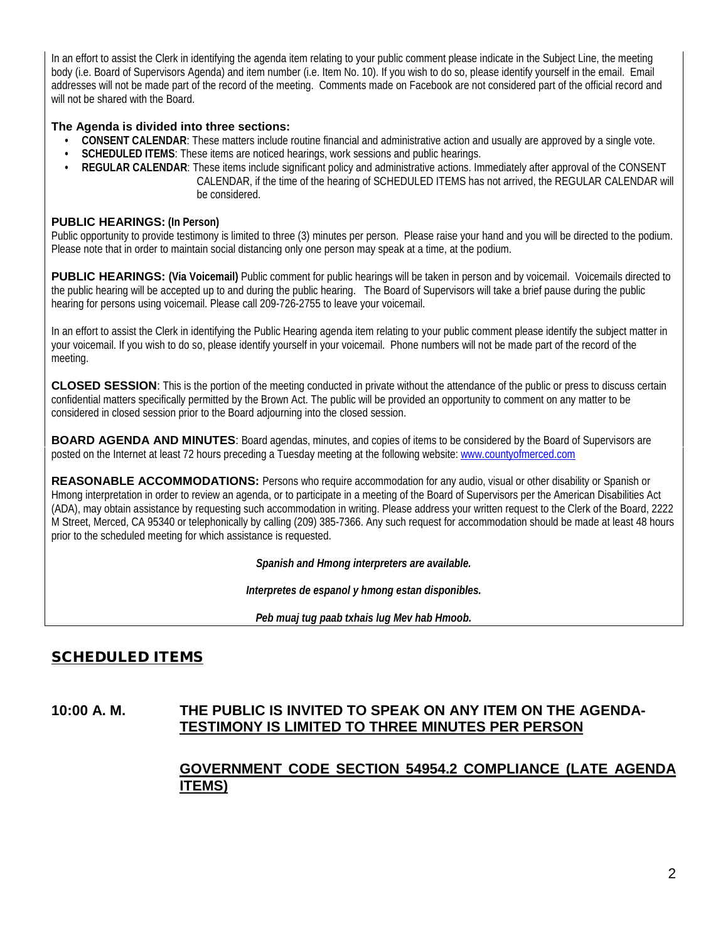In an effort to assist the Clerk in identifying the agenda item relating to your public comment please indicate in the Subject Line, the meeting body (i.e. Board of Supervisors Agenda) and item number (i.e. Item No. 10). If you wish to do so, please identify yourself in the email. Email addresses will not be made part of the record of the meeting. Comments made on Facebook are not considered part of the official record and will not be shared with the Board.

#### **The Agenda is divided into three sections:**

- **CONSENT CALENDAR**: These matters include routine financial and administrative action and usually are approved by a single vote.
- **SCHEDULED ITEMS**: These items are noticed hearings, work sessions and public hearings.
- **REGULAR CALENDAR**: These items include significant policy and administrative actions. Immediately after approval of the CONSENT CALENDAR, if the time of the hearing of SCHEDULED ITEMS has not arrived, the REGULAR CALENDAR will be considered.

#### **PUBLIC HEARINGS: (In Person)**

Public opportunity to provide testimony is limited to three (3) minutes per person. Please raise your hand and you will be directed to the podium. Please note that in order to maintain social distancing only one person may speak at a time, at the podium.

**PUBLIC HEARINGS:** (Via Voicemail) Public comment for public hearings will be taken in person and by voicemail. Voicemails directed to the public hearing will be accepted up to and during the public hearing. The Board of Supervisors will take a brief pause during the public hearing for persons using voicemail. Please call 209-726-2755 to leave your voicemail.

In an effort to assist the Clerk in identifying the Public Hearing agenda item relating to your public comment please identify the subject matter in your voicemail. If you wish to do so, please identify yourself in your voicemail. Phone numbers will not be made part of the record of the meeting.

**CLOSED SESSION**: This is the portion of the meeting conducted in private without the attendance of the public or press to discuss certain confidential matters specifically permitted by the Brown Act. The public will be provided an opportunity to comment on any matter to be considered in closed session prior to the Board adjourning into the closed session.

**BOARD AGENDA AND MINUTES:** Board agendas, minutes, and copies of items to be considered by the Board of Supervisors are posted on the Internet at least 72 hours preceding a Tuesday meeting at the following website: [www.countyofmerced.com](http://www.countyofmerced.com/) 

**REASONABLE ACCOMMODATIONS:** Persons who require accommodation for any audio, visual or other disability or Spanish or Hmong interpretation in order to review an agenda, or to participate in a meeting of the Board of Supervisors per the American Disabilities Act (ADA), may obtain assistance by requesting such accommodation in writing. Please address your written request to the Clerk of the Board, 2222 M Street, Merced, CA 95340 or telephonically by calling (209) 385-7366. Any such request for accommodation should be made at least 48 hours prior to the scheduled meeting for which assistance is requested.

*Spanish and Hmong interpreters are available.*

*Interpretes de espanol y hmong estan disponibles.*

*Peb muaj tug paab txhais lug Mev hab Hmoob.* 

# SCHEDULED ITEMS

#### **10:00 A. M. THE PUBLIC IS INVITED TO SPEAK ON ANY ITEM ON THE AGENDA-TESTIMONY IS LIMITED TO THREE MINUTES PER PERSON**

## **GOVERNMENT CODE SECTION 54954.2 COMPLIANCE (LATE AGENDA ITEMS)**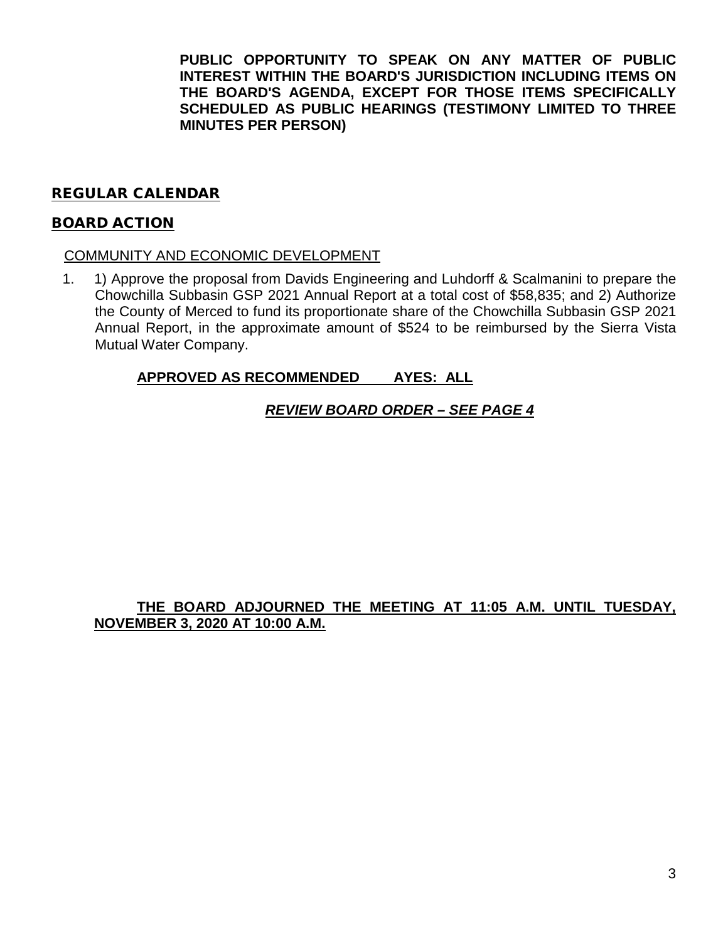**PUBLIC OPPORTUNITY TO SPEAK ON ANY MATTER OF PUBLIC INTEREST WITHIN THE BOARD'S JURISDICTION INCLUDING ITEMS ON THE BOARD'S AGENDA, EXCEPT FOR THOSE ITEMS SPECIFICALLY SCHEDULED AS PUBLIC HEARINGS (TESTIMONY LIMITED TO THREE MINUTES PER PERSON)**

#### REGULAR CALENDAR

#### BOARD ACTION

#### COMMUNITY AND ECONOMIC DEVELOPMENT

1. 1) Approve the proposal from Davids Engineering and Luhdorff & Scalmanini to prepare the Chowchilla Subbasin GSP 2021 Annual Report at a total cost of \$58,835; and 2) Authorize the County of Merced to fund its proportionate share of the Chowchilla Subbasin GSP 2021 Annual Report, in the approximate amount of \$524 to be reimbursed by the Sierra Vista Mutual Water Company.

#### **APPROVED AS RECOMMENDED AYES: ALL**

#### *REVIEW BOARD ORDER – SEE PAGE 4*

## **THE BOARD ADJOURNED THE MEETING AT 11:05 A.M. UNTIL TUESDAY, NOVEMBER 3, 2020 AT 10:00 A.M.**